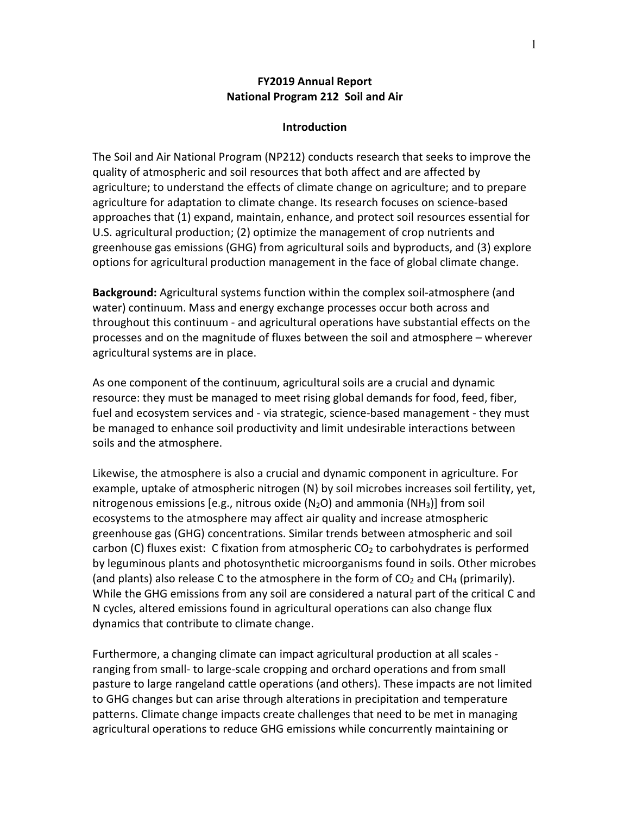## **FY2019 Annual Report National Program 212 Soil and Air**

#### **Introduction**

The Soil and Air National Program (NP212) conducts research that seeks to improve the quality of atmospheric and soil resources that both affect and are affected by agriculture; to understand the effects of climate change on agriculture; and to prepare agriculture for adaptation to climate change. Its research focuses on science-based approaches that (1) expand, maintain, enhance, and protect soil resources essential for U.S. agricultural production; (2) optimize the management of crop nutrients and greenhouse gas emissions (GHG) from agricultural soils and byproducts, and (3) explore options for agricultural production management in the face of global climate change.

**Background:** Agricultural systems function within the complex soil-atmosphere (and water) continuum. Mass and energy exchange processes occur both across and throughout this continuum - and agricultural operations have substantial effects on the processes and on the magnitude of fluxes between the soil and atmosphere – wherever agricultural systems are in place.

As one component of the continuum, agricultural soils are a crucial and dynamic resource: they must be managed to meet rising global demands for food, feed, fiber, fuel and ecosystem services and - via strategic, science-based management - they must be managed to enhance soil productivity and limit undesirable interactions between soils and the atmosphere.

Likewise, the atmosphere is also a crucial and dynamic component in agriculture. For example, uptake of atmospheric nitrogen (N) by soil microbes increases soil fertility, yet, nitrogenous emissions [e.g., nitrous oxide ( $N_2O$ ) and ammonia ( $NH_3$ )] from soil ecosystems to the atmosphere may affect air quality and increase atmospheric greenhouse gas (GHG) concentrations. Similar trends between atmospheric and soil carbon (C) fluxes exist: C fixation from atmospheric  $CO<sub>2</sub>$  to carbohydrates is performed by leguminous plants and photosynthetic microorganisms found in soils. Other microbes (and plants) also release C to the atmosphere in the form of  $CO<sub>2</sub>$  and CH<sub>4</sub> (primarily). While the GHG emissions from any soil are considered a natural part of the critical C and N cycles, altered emissions found in agricultural operations can also change flux dynamics that contribute to climate change.

Furthermore, a changing climate can impact agricultural production at all scales ranging from small- to large-scale cropping and orchard operations and from small pasture to large rangeland cattle operations (and others). These impacts are not limited to GHG changes but can arise through alterations in precipitation and temperature patterns. Climate change impacts create challenges that need to be met in managing agricultural operations to reduce GHG emissions while concurrently maintaining or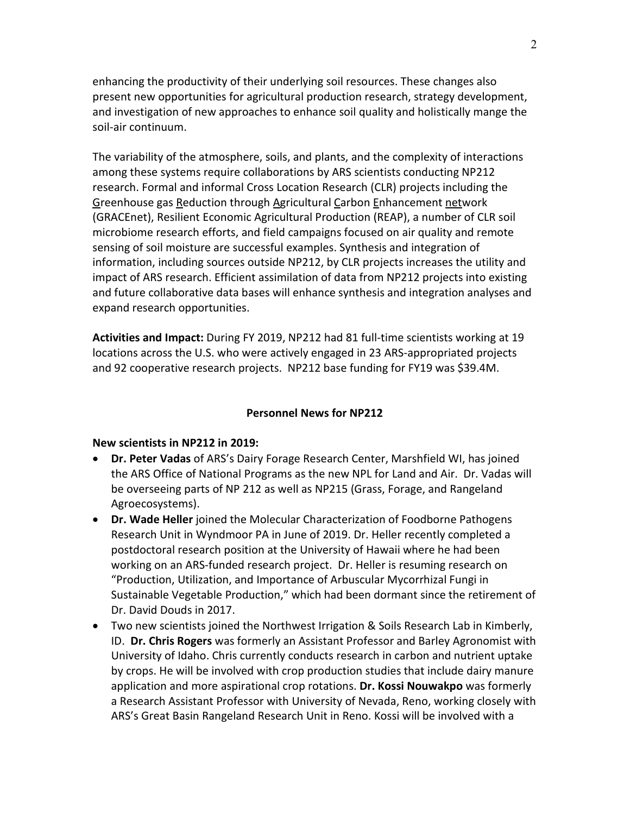enhancing the productivity of their underlying soil resources. These changes also present new opportunities for agricultural production research, strategy development, and investigation of new approaches to enhance soil quality and holistically mange the soil-air continuum.

The variability of the atmosphere, soils, and plants, and the complexity of interactions among these systems require collaborations by ARS scientists conducting NP212 research. Formal and informal Cross Location Research (CLR) projects including the Greenhouse gas Reduction through Agricultural Carbon Enhancement network (GRACEnet), Resilient Economic Agricultural Production (REAP), a number of CLR soil microbiome research efforts, and field campaigns focused on air quality and remote sensing of soil moisture are successful examples. Synthesis and integration of information, including sources outside NP212, by CLR projects increases the utility and impact of ARS research. Efficient assimilation of data from NP212 projects into existing and future collaborative data bases will enhance synthesis and integration analyses and expand research opportunities.

**Activities and Impact:** During FY 2019, NP212 had 81 full-time scientists working at 19 locations across the U.S. who were actively engaged in 23 ARS-appropriated projects and 92 cooperative research projects. NP212 base funding for FY19 was \$39.4M.

## **Personnel News for NP212**

## **New scientists in NP212 in 2019:**

- **Dr. Peter Vadas** of ARS's Dairy Forage Research Center, Marshfield WI, has joined the ARS Office of National Programs as the new NPL for Land and Air. Dr. Vadas will be overseeing parts of NP 212 as well as NP215 (Grass, Forage, and Rangeland Agroecosystems).
- **Dr. Wade Heller** joined the Molecular Characterization of Foodborne Pathogens Research Unit in Wyndmoor PA in June of 2019. Dr. Heller recently completed a postdoctoral research position at the University of Hawaii where he had been working on an ARS-funded research project. Dr. Heller is resuming research on "Production, Utilization, and Importance of Arbuscular Mycorrhizal Fungi in Sustainable Vegetable Production," which had been dormant since the retirement of Dr. David Douds in 2017.
- Two new scientists joined the Northwest Irrigation & Soils Research Lab in Kimberly, ID. **Dr. Chris Rogers** was formerly an Assistant Professor and Barley Agronomist with University of Idaho. Chris currently conducts research in carbon and nutrient uptake by crops. He will be involved with crop production studies that include dairy manure application and more aspirational crop rotations. **Dr. Kossi Nouwakpo** was formerly a Research Assistant Professor with University of Nevada, Reno, working closely with ARS's Great Basin Rangeland Research Unit in Reno. Kossi will be involved with a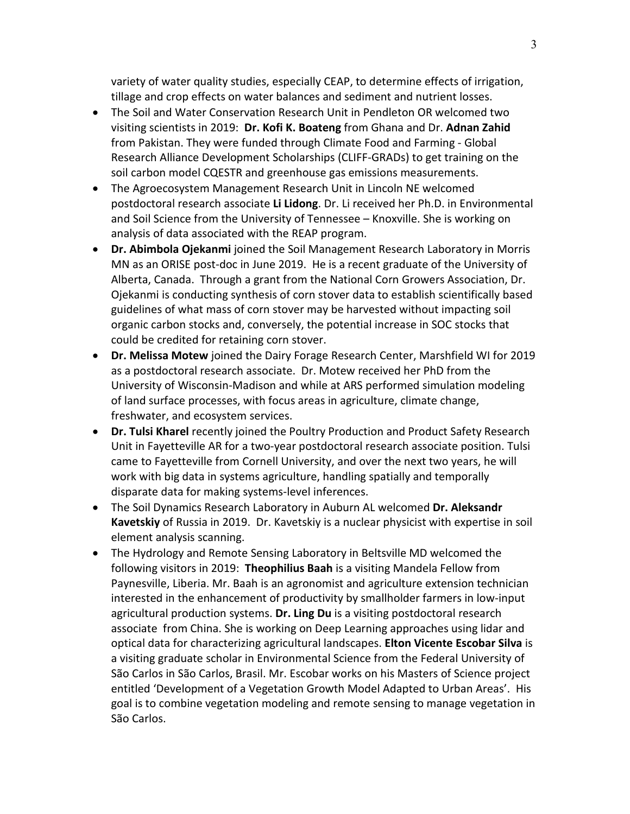variety of water quality studies, especially CEAP, to determine effects of irrigation, tillage and crop effects on water balances and sediment and nutrient losses.

- The Soil and Water Conservation Research Unit in Pendleton OR welcomed two visiting scientists in 2019: **Dr. Kofi K. Boateng** from Ghana and Dr. **Adnan Zahid** from Pakistan. They were funded through Climate Food and Farming - Global Research Alliance Development Scholarships (CLIFF-GRADs) to get training on the soil carbon model CQESTR and greenhouse gas emissions measurements.
- The Agroecosystem Management Research Unit in Lincoln NE welcomed postdoctoral research associate **Li Lidong**. Dr. Li received her Ph.D. in Environmental and Soil Science from the University of Tennessee – Knoxville. She is working on analysis of data associated with the REAP program.
- **Dr. Abimbola Ojekanmi** joined the Soil Management Research Laboratory in Morris MN as an ORISE post-doc in June 2019. He is a recent graduate of the University of Alberta, Canada. Through a grant from the National Corn Growers Association, Dr. Ojekanmi is conducting synthesis of corn stover data to establish scientifically based guidelines of what mass of corn stover may be harvested without impacting soil organic carbon stocks and, conversely, the potential increase in SOC stocks that could be credited for retaining corn stover.
- **Dr. Melissa Motew** joined the Dairy Forage Research Center, Marshfield WI for 2019 as a postdoctoral research associate. Dr. Motew received her PhD from the University of Wisconsin-Madison and while at ARS performed simulation modeling of land surface processes, with focus areas in agriculture, climate change, freshwater, and ecosystem services.
- **Dr. Tulsi Kharel** recently joined the Poultry Production and Product Safety Research Unit in Fayetteville AR for a two-year postdoctoral research associate position. Tulsi came to Fayetteville from Cornell University, and over the next two years, he will work with big data in systems agriculture, handling spatially and temporally disparate data for making systems-level inferences.
- The Soil Dynamics Research Laboratory in Auburn AL welcomed **Dr. Aleksandr Kavetskiy** of Russia in 2019. Dr. Kavetskiy is a nuclear physicist with expertise in soil element analysis scanning.
- The Hydrology and Remote Sensing Laboratory in Beltsville MD welcomed the following visitors in 2019: **Theophilius Baah** is a visiting Mandela Fellow from Paynesville, Liberia. Mr. Baah is an agronomist and agriculture extension technician interested in the enhancement of productivity by smallholder farmers in low-input agricultural production systems. **Dr. Ling Du** is a visiting postdoctoral research associate from China. She is working on Deep Learning approaches using lidar and optical data for characterizing agricultural landscapes. **Elton Vicente Escobar Silva** is a visiting graduate scholar in Environmental Science from the Federal University of São Carlos in São Carlos, Brasil. Mr. Escobar works on his Masters of Science project entitled 'Development of a Vegetation Growth Model Adapted to Urban Areas'. His goal is to combine vegetation modeling and remote sensing to manage vegetation in São Carlos.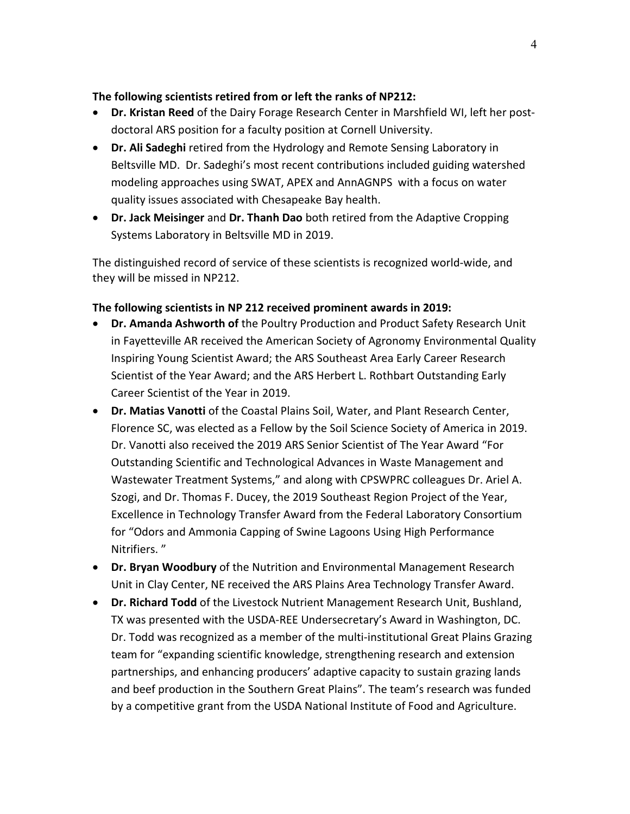# **The following scientists retired from or left the ranks of NP212:**

- **Dr. Kristan Reed** of the Dairy Forage Research Center in Marshfield WI, left her postdoctoral ARS position for a faculty position at Cornell University.
- **Dr. Ali Sadeghi** retired from the Hydrology and Remote Sensing Laboratory in Beltsville MD. Dr. Sadeghi's most recent contributions included guiding watershed modeling approaches using SWAT, APEX and AnnAGNPS with a focus on water quality issues associated with Chesapeake Bay health.
- **Dr. Jack Meisinger** and **Dr. Thanh Dao** both retired from the Adaptive Cropping Systems Laboratory in Beltsville MD in 2019.

The distinguished record of service of these scientists is recognized world-wide, and they will be missed in NP212.

# **The following scientists in NP 212 received prominent awards in 2019:**

- **Dr. Amanda Ashworth of** the Poultry Production and Product Safety Research Unit in Fayetteville AR received the American Society of Agronomy Environmental Quality Inspiring Young Scientist Award; the ARS Southeast Area Early Career Research Scientist of the Year Award; and the ARS Herbert L. Rothbart Outstanding Early Career Scientist of the Year in 2019.
- **Dr. Matias Vanotti** of the Coastal Plains Soil, Water, and Plant Research Center, Florence SC, was elected as a Fellow by the Soil Science Society of America in 2019. Dr. Vanotti also received the 2019 ARS Senior Scientist of The Year Award "For Outstanding Scientific and Technological Advances in Waste Management and Wastewater Treatment Systems," and along with CPSWPRC colleagues Dr. Ariel A. Szogi, and Dr. Thomas F. Ducey, the 2019 Southeast Region Project of the Year, Excellence in Technology Transfer Award from the Federal Laboratory Consortium for "Odors and Ammonia Capping of Swine Lagoons Using High Performance Nitrifiers. "
- **Dr. Bryan Woodbury** of the Nutrition and Environmental Management Research Unit in Clay Center, NE received the ARS Plains Area Technology Transfer Award.
- **Dr. Richard Todd** of the Livestock Nutrient Management Research Unit, Bushland, TX was presented with the USDA-REE Undersecretary's Award in Washington, DC. Dr. Todd was recognized as a member of the multi-institutional Great Plains Grazing team for "expanding scientific knowledge, strengthening research and extension partnerships, and enhancing producers' adaptive capacity to sustain grazing lands and beef production in the Southern Great Plains". The team's research was funded by a competitive grant from the USDA National Institute of Food and Agriculture.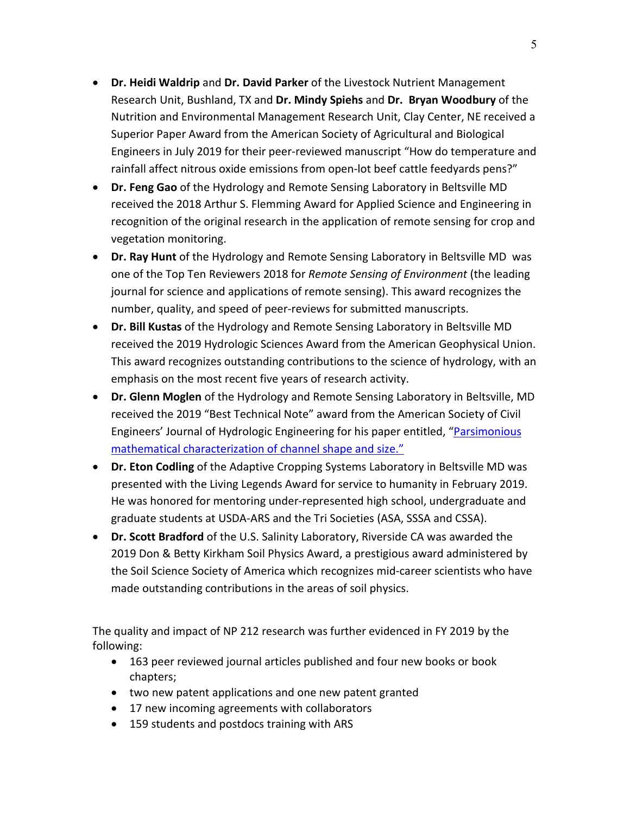- **Dr. Heidi Waldrip** and **Dr. David Parker** of the Livestock Nutrient Management Research Unit, Bushland, TX and **Dr. Mindy Spiehs** and **Dr. Bryan Woodbury** of the Nutrition and Environmental Management Research Unit, Clay Center, NE received a Superior Paper Award from the American Society of Agricultural and Biological Engineers in July 2019 for their peer-reviewed manuscript "How do temperature and rainfall affect nitrous oxide emissions from open-lot beef cattle feedyards pens?"
- **Dr. Feng Gao** of the Hydrology and Remote Sensing Laboratory in Beltsville MD received the 2018 Arthur S. Flemming Award for Applied Science and Engineering in recognition of the original research in the application of remote sensing for crop and vegetation monitoring.
- **Dr. Ray Hunt** of the Hydrology and Remote Sensing Laboratory in Beltsville MD was one of the Top Ten Reviewers 2018 for *Remote Sensing of Environment* (the leading journal for science and applications of remote sensing). This award recognizes the number, quality, and speed of peer-reviews for submitted manuscripts.
- **Dr. Bill Kustas** of the Hydrology and Remote Sensing Laboratory in Beltsville MD received the 2019 Hydrologic Sciences Award from the American Geophysical Union. This award recognizes outstanding contributions to the science of hydrology, with an emphasis on the most recent five years of research activity.
- **Dr. Glenn Moglen** of the Hydrology and Remote Sensing Laboratory in Beltsville, MD received the 2019 "Best Technical Note" award from the American Society of Civil Engineers' Journal of Hydrologic Engineering for his paper entitled, ["Parsimonious](https://doi.org/10.1061/(ASCE)HE.1943-5584.0001588)  [mathematical characterization of channel shape and size."](https://doi.org/10.1061/(ASCE)HE.1943-5584.0001588)
- **Dr. Eton Codling** of the Adaptive Cropping Systems Laboratory in Beltsville MD was presented with the Living Legends Award for service to humanity in February 2019. He was honored for mentoring under-represented high school, undergraduate and graduate students at USDA-ARS and the Tri Societies (ASA, SSSA and CSSA).
- **Dr. Scott Bradford** of the U.S. Salinity Laboratory, Riverside CA was awarded the 2019 Don & Betty Kirkham Soil Physics Award, a prestigious award administered by the Soil Science Society of America which recognizes mid-career scientists who have made outstanding contributions in the areas of soil physics.

The quality and impact of NP 212 research was further evidenced in FY 2019 by the following:

- 163 peer reviewed journal articles published and four new books or book chapters;
- two new patent applications and one new patent granted
- 17 new incoming agreements with collaborators
- 159 students and postdocs training with ARS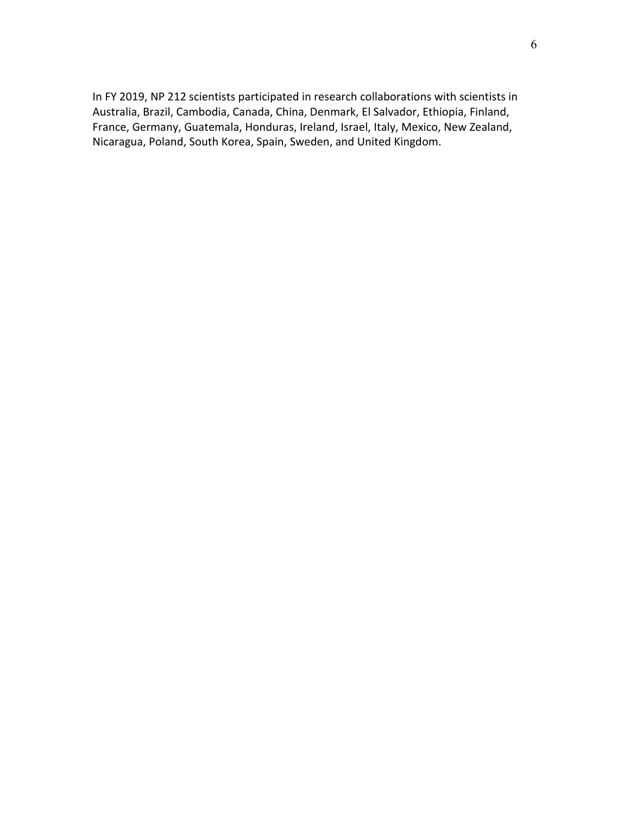In FY 2019, NP 212 scientists participated in research collaborations with scientists in Australia, Brazil, Cambodia, Canada, China, Denmark, El Salvador, Ethiopia, Finland, France, Germany, Guatemala, Honduras, Ireland, Israel, Italy, Mexico, New Zealand, Nicaragua, Poland, South Korea, Spain, Sweden, and United Kingdom.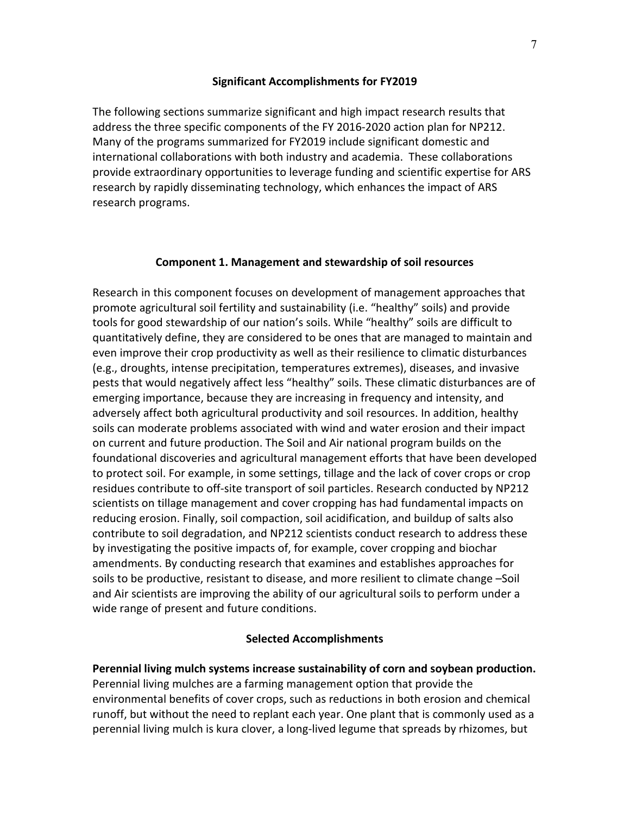## **Significant Accomplishments for FY2019**

The following sections summarize significant and high impact research results that address the three specific components of the FY 2016-2020 action plan for NP212. Many of the programs summarized for FY2019 include significant domestic and international collaborations with both industry and academia. These collaborations provide extraordinary opportunities to leverage funding and scientific expertise for ARS research by rapidly disseminating technology, which enhances the impact of ARS research programs.

## **Component 1. Management and stewardship of soil resources**

Research in this component focuses on development of management approaches that promote agricultural soil fertility and sustainability (i.e. "healthy" soils) and provide tools for good stewardship of our nation's soils. While "healthy" soils are difficult to quantitatively define, they are considered to be ones that are managed to maintain and even improve their crop productivity as well as their resilience to climatic disturbances (e.g., droughts, intense precipitation, temperatures extremes), diseases, and invasive pests that would negatively affect less "healthy" soils. These climatic disturbances are of emerging importance, because they are increasing in frequency and intensity, and adversely affect both agricultural productivity and soil resources. In addition, healthy soils can moderate problems associated with wind and water erosion and their impact on current and future production. The Soil and Air national program builds on the foundational discoveries and agricultural management efforts that have been developed to protect soil. For example, in some settings, tillage and the lack of cover crops or crop residues contribute to off-site transport of soil particles. Research conducted by NP212 scientists on tillage management and cover cropping has had fundamental impacts on reducing erosion. Finally, soil compaction, soil acidification, and buildup of salts also contribute to soil degradation, and NP212 scientists conduct research to address these by investigating the positive impacts of, for example, cover cropping and biochar amendments. By conducting research that examines and establishes approaches for soils to be productive, resistant to disease, and more resilient to climate change –Soil and Air scientists are improving the ability of our agricultural soils to perform under a wide range of present and future conditions.

## **Selected Accomplishments**

**Perennial living mulch systems increase sustainability of corn and soybean production.**  Perennial living mulches are a farming management option that provide the environmental benefits of cover crops, such as reductions in both erosion and chemical runoff, but without the need to replant each year. One plant that is commonly used as a perennial living mulch is kura clover, a long-lived legume that spreads by rhizomes, but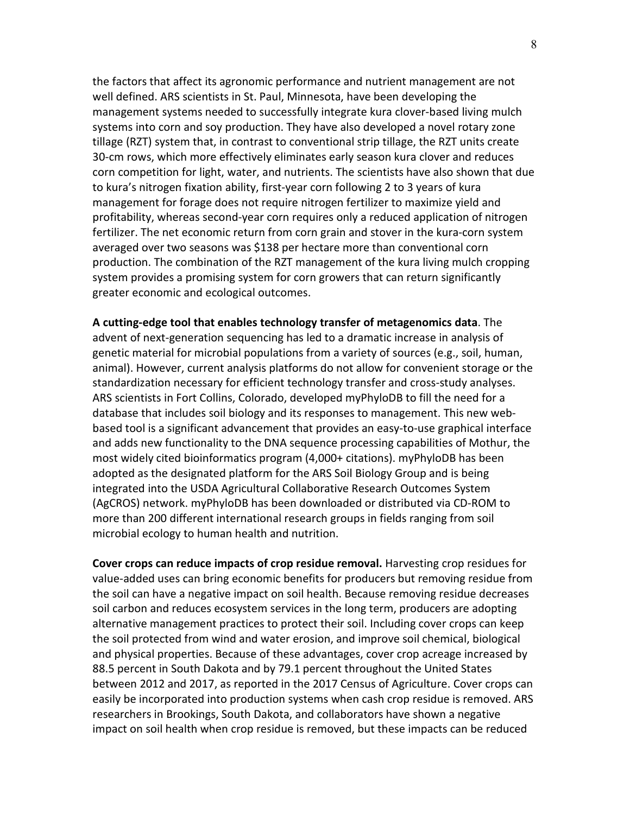the factors that affect its agronomic performance and nutrient management are not well defined. ARS scientists in St. Paul, Minnesota, have been developing the management systems needed to successfully integrate kura clover-based living mulch systems into corn and soy production. They have also developed a novel rotary zone tillage (RZT) system that, in contrast to conventional strip tillage, the RZT units create 30-cm rows, which more effectively eliminates early season kura clover and reduces corn competition for light, water, and nutrients. The scientists have also shown that due to kura's nitrogen fixation ability, first-year corn following 2 to 3 years of kura management for forage does not require nitrogen fertilizer to maximize yield and profitability, whereas second-year corn requires only a reduced application of nitrogen fertilizer. The net economic return from corn grain and stover in the kura-corn system averaged over two seasons was \$138 per hectare more than conventional corn production. The combination of the RZT management of the kura living mulch cropping system provides a promising system for corn growers that can return significantly greater economic and ecological outcomes.

**A cutting-edge tool that enables technology transfer of metagenomics data**. The advent of next-generation sequencing has led to a dramatic increase in analysis of genetic material for microbial populations from a variety of sources (e.g., soil, human, animal). However, current analysis platforms do not allow for convenient storage or the standardization necessary for efficient technology transfer and cross-study analyses. ARS scientists in Fort Collins, Colorado, developed myPhyloDB to fill the need for a database that includes soil biology and its responses to management. This new webbased tool is a significant advancement that provides an easy-to-use graphical interface and adds new functionality to the DNA sequence processing capabilities of Mothur, the most widely cited bioinformatics program (4,000+ citations). myPhyloDB has been adopted as the designated platform for the ARS Soil Biology Group and is being integrated into the USDA Agricultural Collaborative Research Outcomes System (AgCROS) network. myPhyloDB has been downloaded or distributed via CD-ROM to more than 200 different international research groups in fields ranging from soil microbial ecology to human health and nutrition.

**Cover crops can reduce impacts of crop residue removal.** Harvesting crop residues for value-added uses can bring economic benefits for producers but removing residue from the soil can have a negative impact on soil health. Because removing residue decreases soil carbon and reduces ecosystem services in the long term, producers are adopting alternative management practices to protect their soil. Including cover crops can keep the soil protected from wind and water erosion, and improve soil chemical, biological and physical properties. Because of these advantages, cover crop acreage increased by 88.5 percent in South Dakota and by 79.1 percent throughout the United States between 2012 and 2017, as reported in the 2017 Census of Agriculture. Cover crops can easily be incorporated into production systems when cash crop residue is removed. ARS researchers in Brookings, South Dakota, and collaborators have shown a negative impact on soil health when crop residue is removed, but these impacts can be reduced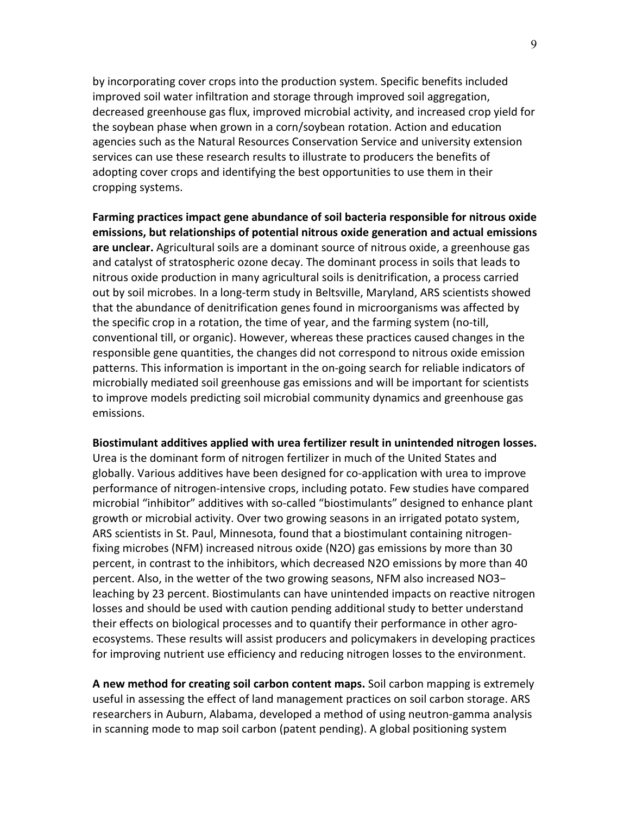by incorporating cover crops into the production system. Specific benefits included improved soil water infiltration and storage through improved soil aggregation, decreased greenhouse gas flux, improved microbial activity, and increased crop yield for the soybean phase when grown in a corn/soybean rotation. Action and education agencies such as the Natural Resources Conservation Service and university extension services can use these research results to illustrate to producers the benefits of adopting cover crops and identifying the best opportunities to use them in their cropping systems.

**Farming practices impact gene abundance of soil bacteria responsible for nitrous oxide emissions, but relationships of potential nitrous oxide generation and actual emissions are unclear.** Agricultural soils are a dominant source of nitrous oxide, a greenhouse gas and catalyst of stratospheric ozone decay. The dominant process in soils that leads to nitrous oxide production in many agricultural soils is denitrification, a process carried out by soil microbes. In a long-term study in Beltsville, Maryland, ARS scientists showed that the abundance of denitrification genes found in microorganisms was affected by the specific crop in a rotation, the time of year, and the farming system (no-till, conventional till, or organic). However, whereas these practices caused changes in the responsible gene quantities, the changes did not correspond to nitrous oxide emission patterns. This information is important in the on-going search for reliable indicators of microbially mediated soil greenhouse gas emissions and will be important for scientists to improve models predicting soil microbial community dynamics and greenhouse gas emissions.

#### **Biostimulant additives applied with urea fertilizer result in unintended nitrogen losses.**

Urea is the dominant form of nitrogen fertilizer in much of the United States and globally. Various additives have been designed for co-application with urea to improve performance of nitrogen-intensive crops, including potato. Few studies have compared microbial "inhibitor" additives with so-called "biostimulants" designed to enhance plant growth or microbial activity. Over two growing seasons in an irrigated potato system, ARS scientists in St. Paul, Minnesota, found that a biostimulant containing nitrogenfixing microbes (NFM) increased nitrous oxide (N2O) gas emissions by more than 30 percent, in contrast to the inhibitors, which decreased N2O emissions by more than 40 percent. Also, in the wetter of the two growing seasons, NFM also increased NO3− leaching by 23 percent. Biostimulants can have unintended impacts on reactive nitrogen losses and should be used with caution pending additional study to better understand their effects on biological processes and to quantify their performance in other agroecosystems. These results will assist producers and policymakers in developing practices for improving nutrient use efficiency and reducing nitrogen losses to the environment.

**A new method for creating soil carbon content maps.** Soil carbon mapping is extremely useful in assessing the effect of land management practices on soil carbon storage. ARS researchers in Auburn, Alabama, developed a method of using neutron-gamma analysis in scanning mode to map soil carbon (patent pending). A global positioning system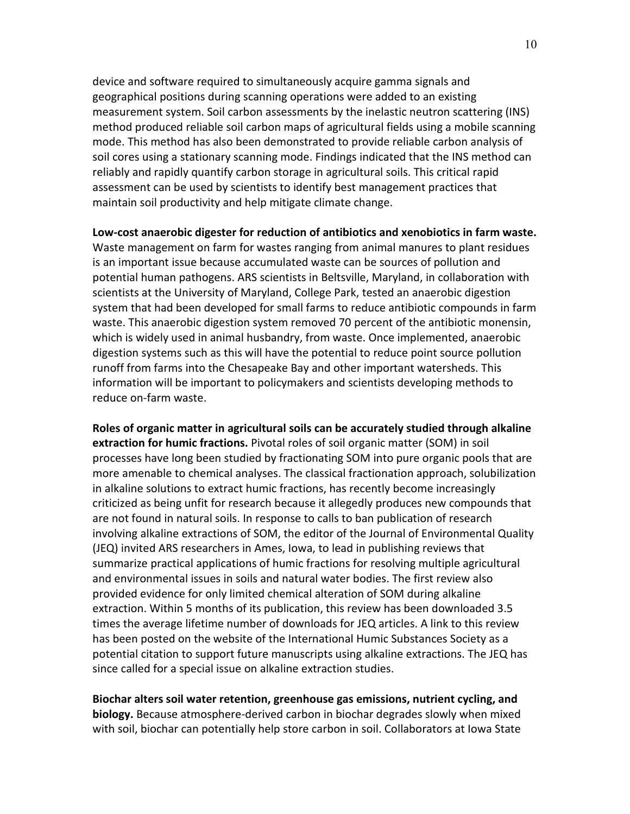device and software required to simultaneously acquire gamma signals and geographical positions during scanning operations were added to an existing measurement system. Soil carbon assessments by the inelastic neutron scattering (INS) method produced reliable soil carbon maps of agricultural fields using a mobile scanning mode. This method has also been demonstrated to provide reliable carbon analysis of soil cores using a stationary scanning mode. Findings indicated that the INS method can reliably and rapidly quantify carbon storage in agricultural soils. This critical rapid assessment can be used by scientists to identify best management practices that maintain soil productivity and help mitigate climate change.

**Low-cost anaerobic digester for reduction of antibiotics and xenobiotics in farm waste.** Waste management on farm for wastes ranging from animal manures to plant residues is an important issue because accumulated waste can be sources of pollution and potential human pathogens. ARS scientists in Beltsville, Maryland, in collaboration with scientists at the University of Maryland, College Park, tested an anaerobic digestion system that had been developed for small farms to reduce antibiotic compounds in farm waste. This anaerobic digestion system removed 70 percent of the antibiotic monensin, which is widely used in animal husbandry, from waste. Once implemented, anaerobic digestion systems such as this will have the potential to reduce point source pollution runoff from farms into the Chesapeake Bay and other important watersheds. This information will be important to policymakers and scientists developing methods to reduce on-farm waste.

**Roles of organic matter in agricultural soils can be accurately studied through alkaline extraction for humic fractions.** Pivotal roles of soil organic matter (SOM) in soil processes have long been studied by fractionating SOM into pure organic pools that are more amenable to chemical analyses. The classical fractionation approach, solubilization in alkaline solutions to extract humic fractions, has recently become increasingly criticized as being unfit for research because it allegedly produces new compounds that are not found in natural soils. In response to calls to ban publication of research involving alkaline extractions of SOM, the editor of the Journal of Environmental Quality (JEQ) invited ARS researchers in Ames, Iowa, to lead in publishing reviews that summarize practical applications of humic fractions for resolving multiple agricultural and environmental issues in soils and natural water bodies. The first review also provided evidence for only limited chemical alteration of SOM during alkaline extraction. Within 5 months of its publication, this review has been downloaded 3.5 times the average lifetime number of downloads for JEQ articles. A link to this review has been posted on the website of the International Humic Substances Society as a potential citation to support future manuscripts using alkaline extractions. The JEQ has since called for a special issue on alkaline extraction studies.

**Biochar alters soil water retention, greenhouse gas emissions, nutrient cycling, and biology.** Because atmosphere-derived carbon in biochar degrades slowly when mixed with soil, biochar can potentially help store carbon in soil. Collaborators at Iowa State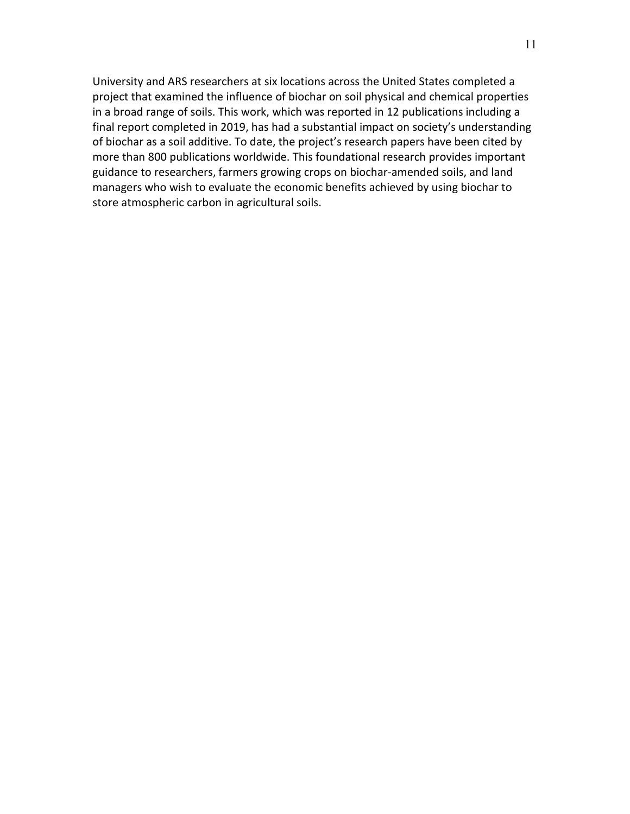University and ARS researchers at six locations across the United States completed a project that examined the influence of biochar on soil physical and chemical properties in a broad range of soils. This work, which was reported in 12 publications including a final report completed in 2019, has had a substantial impact on society's understanding of biochar as a soil additive. To date, the project's research papers have been cited by more than 800 publications worldwide. This foundational research provides important guidance to researchers, farmers growing crops on biochar-amended soils, and land managers who wish to evaluate the economic benefits achieved by using biochar to store atmospheric carbon in agricultural soils.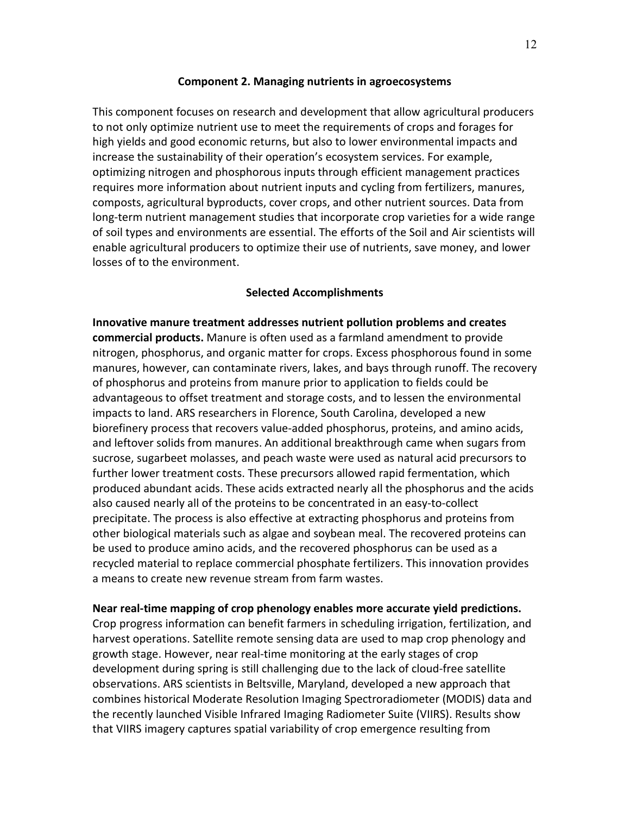### **Component 2. Managing nutrients in agroecosystems**

This component focuses on research and development that allow agricultural producers to not only optimize nutrient use to meet the requirements of crops and forages for high yields and good economic returns, but also to lower environmental impacts and increase the sustainability of their operation's ecosystem services. For example, optimizing nitrogen and phosphorous inputs through efficient management practices requires more information about nutrient inputs and cycling from fertilizers, manures, composts, agricultural byproducts, cover crops, and other nutrient sources. Data from long-term nutrient management studies that incorporate crop varieties for a wide range of soil types and environments are essential. The efforts of the Soil and Air scientists will enable agricultural producers to optimize their use of nutrients, save money, and lower losses of to the environment.

#### **Selected Accomplishments**

**Innovative manure treatment addresses nutrient pollution problems and creates commercial products.** Manure is often used as a farmland amendment to provide nitrogen, phosphorus, and organic matter for crops. Excess phosphorous found in some manures, however, can contaminate rivers, lakes, and bays through runoff. The recovery of phosphorus and proteins from manure prior to application to fields could be advantageous to offset treatment and storage costs, and to lessen the environmental impacts to land. ARS researchers in Florence, South Carolina, developed a new biorefinery process that recovers value-added phosphorus, proteins, and amino acids, and leftover solids from manures. An additional breakthrough came when sugars from sucrose, sugarbeet molasses, and peach waste were used as natural acid precursors to further lower treatment costs. These precursors allowed rapid fermentation, which produced abundant acids. These acids extracted nearly all the phosphorus and the acids also caused nearly all of the proteins to be concentrated in an easy-to-collect precipitate. The process is also effective at extracting phosphorus and proteins from other biological materials such as algae and soybean meal. The recovered proteins can be used to produce amino acids, and the recovered phosphorus can be used as a recycled material to replace commercial phosphate fertilizers. This innovation provides a means to create new revenue stream from farm wastes.

**Near real-time mapping of crop phenology enables more accurate yield predictions.**

Crop progress information can benefit farmers in scheduling irrigation, fertilization, and harvest operations. Satellite remote sensing data are used to map crop phenology and growth stage. However, near real-time monitoring at the early stages of crop development during spring is still challenging due to the lack of cloud-free satellite observations. ARS scientists in Beltsville, Maryland, developed a new approach that combines historical Moderate Resolution Imaging Spectroradiometer (MODIS) data and the recently launched Visible Infrared Imaging Radiometer Suite (VIIRS). Results show that VIIRS imagery captures spatial variability of crop emergence resulting from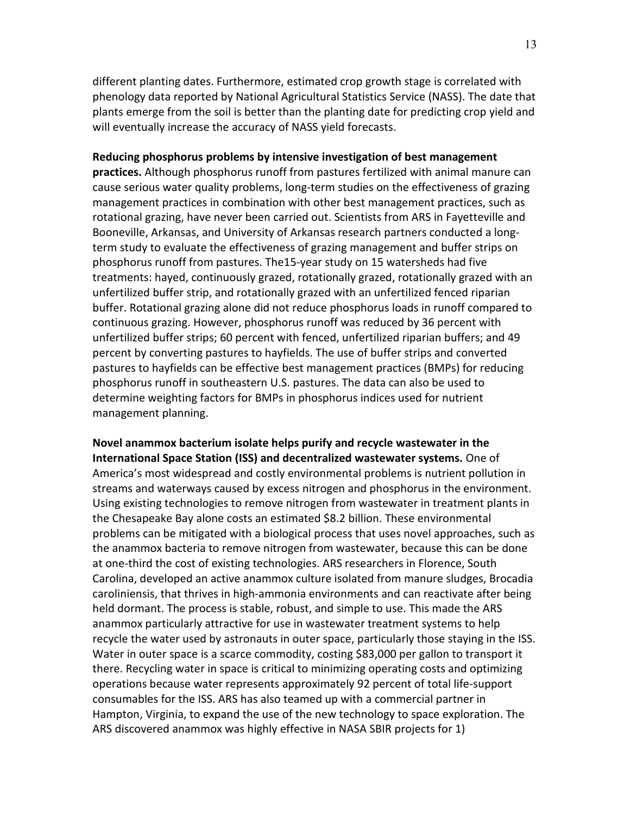different planting dates. Furthermore, estimated crop growth stage is correlated with phenology data reported by National Agricultural Statistics Service (NASS). The date that plants emerge from the soil is better than the planting date for predicting crop yield and will eventually increase the accuracy of NASS yield forecasts.

### **Reducing phosphorus problems by intensive investigation of best management**

**practices.** Although phosphorus runoff from pastures fertilized with animal manure can cause serious water quality problems, long-term studies on the effectiveness of grazing management practices in combination with other best management practices, such as rotational grazing, have never been carried out. Scientists from ARS in Fayetteville and Booneville, Arkansas, and University of Arkansas research partners conducted a longterm study to evaluate the effectiveness of grazing management and buffer strips on phosphorus runoff from pastures. The15-year study on 15 watersheds had five treatments: hayed, continuously grazed, rotationally grazed, rotationally grazed with an unfertilized buffer strip, and rotationally grazed with an unfertilized fenced riparian buffer. Rotational grazing alone did not reduce phosphorus loads in runoff compared to continuous grazing. However, phosphorus runoff was reduced by 36 percent with unfertilized buffer strips; 60 percent with fenced, unfertilized riparian buffers; and 49 percent by converting pastures to hayfields. The use of buffer strips and converted pastures to hayfields can be effective best management practices (BMPs) for reducing phosphorus runoff in southeastern U.S. pastures. The data can also be used to determine weighting factors for BMPs in phosphorus indices used for nutrient management planning.

**Novel anammox bacterium isolate helps purify and recycle wastewater in the International Space Station (ISS) and decentralized wastewater systems.** One of America's most widespread and costly environmental problems is nutrient pollution in streams and waterways caused by excess nitrogen and phosphorus in the environment. Using existing technologies to remove nitrogen from wastewater in treatment plants in the Chesapeake Bay alone costs an estimated \$8.2 billion. These environmental problems can be mitigated with a biological process that uses novel approaches, such as the anammox bacteria to remove nitrogen from wastewater, because this can be done at one-third the cost of existing technologies. ARS researchers in Florence, South Carolina, developed an active anammox culture isolated from manure sludges, Brocadia caroliniensis, that thrives in high-ammonia environments and can reactivate after being held dormant. The process is stable, robust, and simple to use. This made the ARS anammox particularly attractive for use in wastewater treatment systems to help recycle the water used by astronauts in outer space, particularly those staying in the ISS. Water in outer space is a scarce commodity, costing \$83,000 per gallon to transport it there. Recycling water in space is critical to minimizing operating costs and optimizing operations because water represents approximately 92 percent of total life-support consumables for the ISS. ARS has also teamed up with a commercial partner in Hampton, Virginia, to expand the use of the new technology to space exploration. The ARS discovered anammox was highly effective in NASA SBIR projects for 1)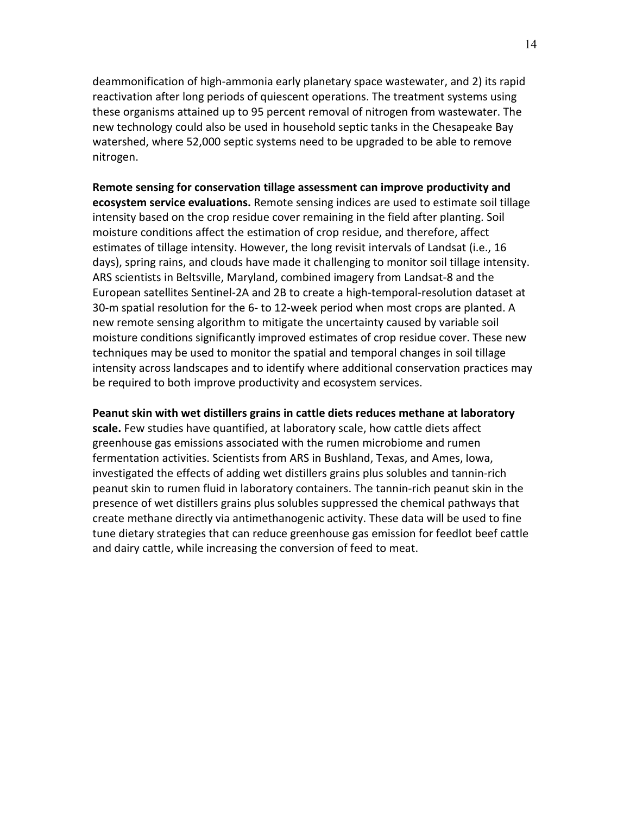deammonification of high-ammonia early planetary space wastewater, and 2) its rapid reactivation after long periods of quiescent operations. The treatment systems using these organisms attained up to 95 percent removal of nitrogen from wastewater. The new technology could also be used in household septic tanks in the Chesapeake Bay watershed, where 52,000 septic systems need to be upgraded to be able to remove nitrogen.

**Remote sensing for conservation tillage assessment can improve productivity and ecosystem service evaluations.** Remote sensing indices are used to estimate soil tillage intensity based on the crop residue cover remaining in the field after planting. Soil moisture conditions affect the estimation of crop residue, and therefore, affect estimates of tillage intensity. However, the long revisit intervals of Landsat (i.e., 16 days), spring rains, and clouds have made it challenging to monitor soil tillage intensity. ARS scientists in Beltsville, Maryland, combined imagery from Landsat-8 and the European satellites Sentinel-2A and 2B to create a high-temporal-resolution dataset at 30-m spatial resolution for the 6- to 12-week period when most crops are planted. A new remote sensing algorithm to mitigate the uncertainty caused by variable soil moisture conditions significantly improved estimates of crop residue cover. These new techniques may be used to monitor the spatial and temporal changes in soil tillage intensity across landscapes and to identify where additional conservation practices may be required to both improve productivity and ecosystem services.

**Peanut skin with wet distillers grains in cattle diets reduces methane at laboratory** 

**scale.** Few studies have quantified, at laboratory scale, how cattle diets affect greenhouse gas emissions associated with the rumen microbiome and rumen fermentation activities. Scientists from ARS in Bushland, Texas, and Ames, Iowa, investigated the effects of adding wet distillers grains plus solubles and tannin-rich peanut skin to rumen fluid in laboratory containers. The tannin-rich peanut skin in the presence of wet distillers grains plus solubles suppressed the chemical pathways that create methane directly via antimethanogenic activity. These data will be used to fine tune dietary strategies that can reduce greenhouse gas emission for feedlot beef cattle and dairy cattle, while increasing the conversion of feed to meat.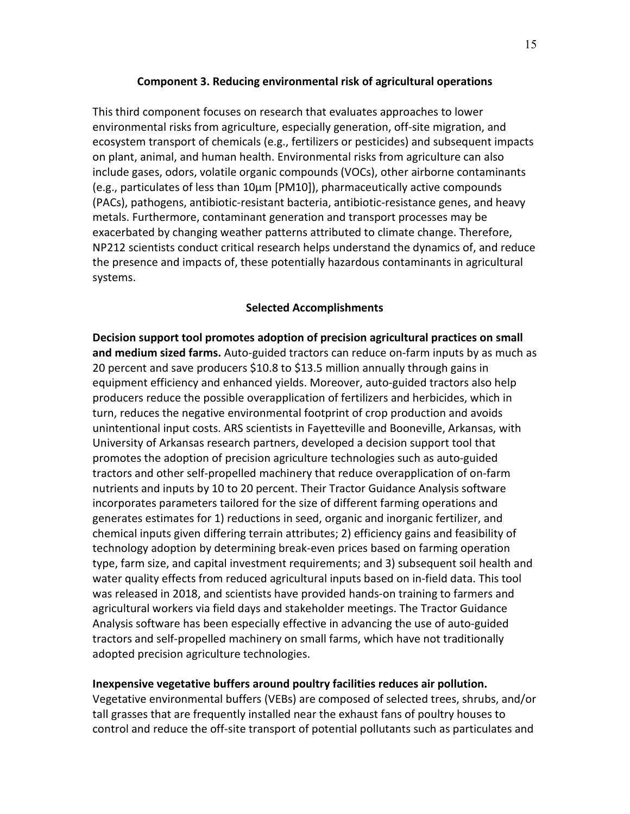## **Component 3. Reducing environmental risk of agricultural operations**

This third component focuses on research that evaluates approaches to lower environmental risks from agriculture, especially generation, off-site migration, and ecosystem transport of chemicals (e.g., fertilizers or pesticides) and subsequent impacts on plant, animal, and human health. Environmental risks from agriculture can also include gases, odors, volatile organic compounds (VOCs), other airborne contaminants (e.g., particulates of less than 10μm [PM10]), pharmaceutically active compounds (PACs), pathogens, antibiotic-resistant bacteria, antibiotic-resistance genes, and heavy metals. Furthermore, contaminant generation and transport processes may be exacerbated by changing weather patterns attributed to climate change. Therefore, NP212 scientists conduct critical research helps understand the dynamics of, and reduce the presence and impacts of, these potentially hazardous contaminants in agricultural systems.

# **Selected Accomplishments**

**Decision support tool promotes adoption of precision agricultural practices on small and medium sized farms.** Auto-guided tractors can reduce on-farm inputs by as much as 20 percent and save producers \$10.8 to \$13.5 million annually through gains in equipment efficiency and enhanced yields. Moreover, auto-guided tractors also help producers reduce the possible overapplication of fertilizers and herbicides, which in turn, reduces the negative environmental footprint of crop production and avoids unintentional input costs. ARS scientists in Fayetteville and Booneville, Arkansas, with University of Arkansas research partners, developed a decision support tool that promotes the adoption of precision agriculture technologies such as auto-guided tractors and other self-propelled machinery that reduce overapplication of on-farm nutrients and inputs by 10 to 20 percent. Their Tractor Guidance Analysis software incorporates parameters tailored for the size of different farming operations and generates estimates for 1) reductions in seed, organic and inorganic fertilizer, and chemical inputs given differing terrain attributes; 2) efficiency gains and feasibility of technology adoption by determining break-even prices based on farming operation type, farm size, and capital investment requirements; and 3) subsequent soil health and water quality effects from reduced agricultural inputs based on in-field data. This tool was released in 2018, and scientists have provided hands-on training to farmers and agricultural workers via field days and stakeholder meetings. The Tractor Guidance Analysis software has been especially effective in advancing the use of auto-guided tractors and self-propelled machinery on small farms, which have not traditionally adopted precision agriculture technologies.

## **Inexpensive vegetative buffers around poultry facilities reduces air pollution.**

Vegetative environmental buffers (VEBs) are composed of selected trees, shrubs, and/or tall grasses that are frequently installed near the exhaust fans of poultry houses to control and reduce the off-site transport of potential pollutants such as particulates and